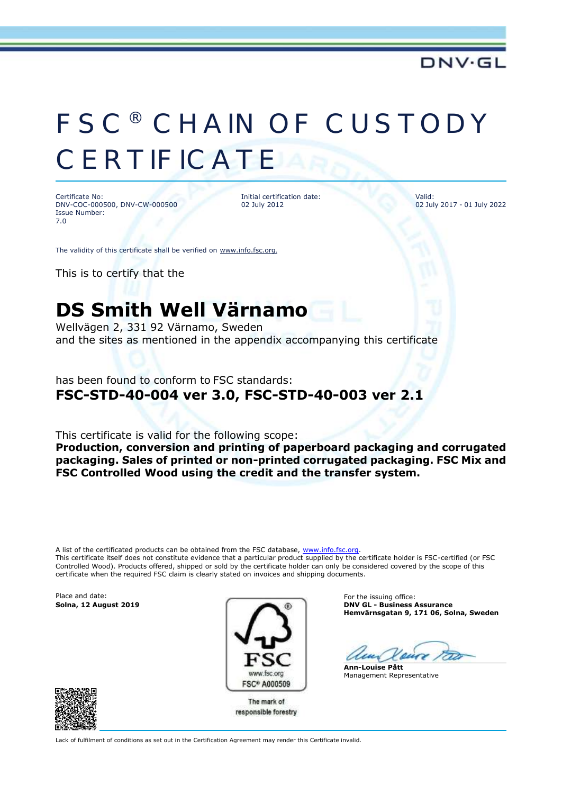# FSC® CHAIN OF CUSTODY **CERTIFICATE**

Certificate No: DNV-COC-000500, DNV-CW-000500 Issue Number: 7.0

Initial certification date: 02 July 2012

Valid: 02 July 2017 - 01 July 2022

The validity of this certificate shall be verified on [www.info.fsc.org](http://www.info.fsc.org/).

This is to certify that the

## **DS Smith Well Värnamo**

Wellvägen 2, 331 92 Värnamo, Sweden and the sites as mentioned in the appendix accompanying this certificate

has been found to conform to FSC standards:

### **FSC-STD-40-004 ver 3.0, FSC-STD-40-003 ver 2.1**

This certificate is valid for the following scope:

**Production, conversion and printing of paperboard packaging and corrugated packaging. Sales of printed or non-printed corrugated packaging. FSC Mix and FSC Controlled Wood using the credit and the transfer system.**

A list of the certificated products can be obtained from the FSC database, [www.info.fsc.org.](file:///D:/Oracle/Middleware/user_projects/domains/bifoundation_domain/www.info.fsc.org) This certificate itself does not constitute evidence that a particular product supplied by the certificate holder is FSC-certified (or FSC Controlled Wood). Products offered, shipped or sold by the certificate holder can only be considered covered by the scope of this certificate when the required FSC claim is clearly stated on invoices and shipping documents.

Place and date: For the issuing office:<br> **Solna, 12 August 2019 Contract Contract Contract Contract Contract Contract Contract Contract Contract Contract Contract Contract Contract Contract Contract Contract Contract Con** 



The mark of responsible forestry **Solna, 12 August 2019 DNV GL - Business Assurance Hemvärnsgatan 9, 171 06, Solna, Sweden**

**Ann-Louise Pått** Management Representative



Lack of fulfilment of conditions as set out in the Certification Agreement may render this Certificate invalid.